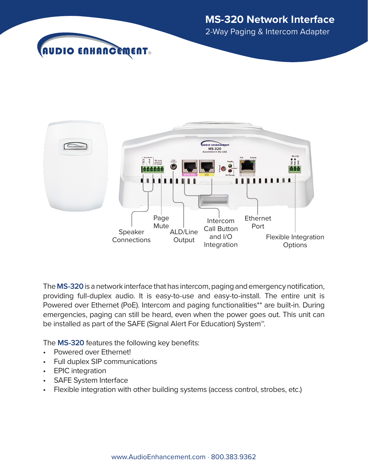



2-Way Paging & Intercom Adapter



The **MS-320** is a network interface that has intercom, paging and emergency notification, providing full-duplex audio. It is easy-to-use and easy-to-install. The entire unit is Powered over Ethernet (PoE). Intercom and paging functionalities\*\* are built-in. During emergencies, paging can still be heard, even when the power goes out. This unit can be installed as part of the SAFE (Signal Alert For Education) System™.

The **MS-320** features the following key benefits:

- Powered over Ethernet!
- Full duplex SIP communications
- EPIC integration
- **SAFE System Interface**
- Flexible integration with other building systems (access control, strobes, etc.)